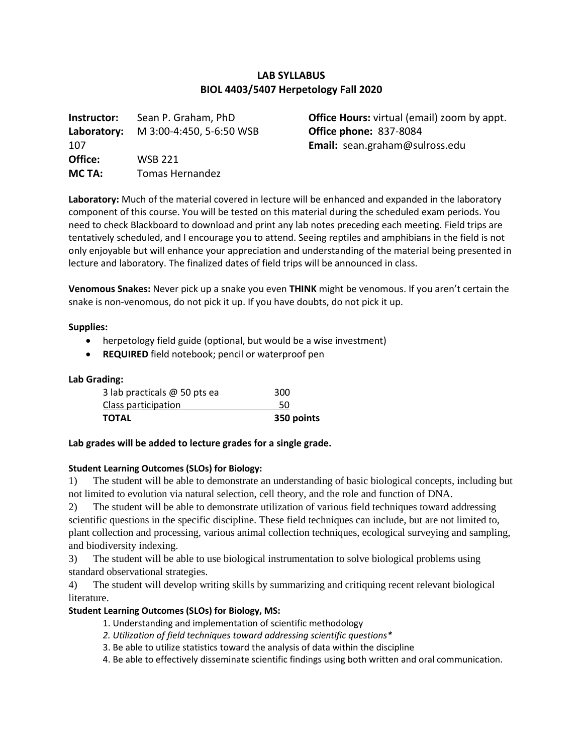# **LAB SYLLABUS BIOL 4403/5407 Herpetology Fall 2020**

**Instructor:** Sean P. Graham, PhD **Laboratory:** M 3:00-4:450, 5-6:50 WSB 107 **Office:** WSB 221 **MC TA:** Tomas Hernandez

**Office Hours:** virtual (email) zoom by appt. **Office phone:** 837-8084 **Email:** sean.graham@sulross.edu

**Laboratory:** Much of the material covered in lecture will be enhanced and expanded in the laboratory component of this course. You will be tested on this material during the scheduled exam periods. You need to check Blackboard to download and print any lab notes preceding each meeting. Field trips are tentatively scheduled, and I encourage you to attend. Seeing reptiles and amphibians in the field is not only enjoyable but will enhance your appreciation and understanding of the material being presented in lecture and laboratory. The finalized dates of field trips will be announced in class.

**Venomous Snakes:** Never pick up a snake you even **THINK** might be venomous. If you aren't certain the snake is non-venomous, do not pick it up. If you have doubts, do not pick it up.

#### **Supplies:**

- herpetology field guide (optional, but would be a wise investment)
- **REQUIRED** field notebook; pencil or waterproof pen

#### **Lab Grading:**

| 350 points |
|------------|
| 50         |
| 300        |
|            |

## **Lab grades will be added to lecture grades for a single grade.**

## **Student Learning Outcomes (SLOs) for Biology:**

1) The student will be able to demonstrate an understanding of basic biological concepts, including but not limited to evolution via natural selection, cell theory, and the role and function of DNA.

2) The student will be able to demonstrate utilization of various field techniques toward addressing scientific questions in the specific discipline. These field techniques can include, but are not limited to, plant collection and processing, various animal collection techniques, ecological surveying and sampling, and biodiversity indexing.

3) The student will be able to use biological instrumentation to solve biological problems using standard observational strategies.

4) The student will develop writing skills by summarizing and critiquing recent relevant biological literature.

## **Student Learning Outcomes (SLOs) for Biology, MS:**

- 1. Understanding and implementation of scientific methodology
- *2. Utilization of field techniques toward addressing scientific questions\**
- 3. Be able to utilize statistics toward the analysis of data within the discipline

4. Be able to effectively disseminate scientific findings using both written and oral communication.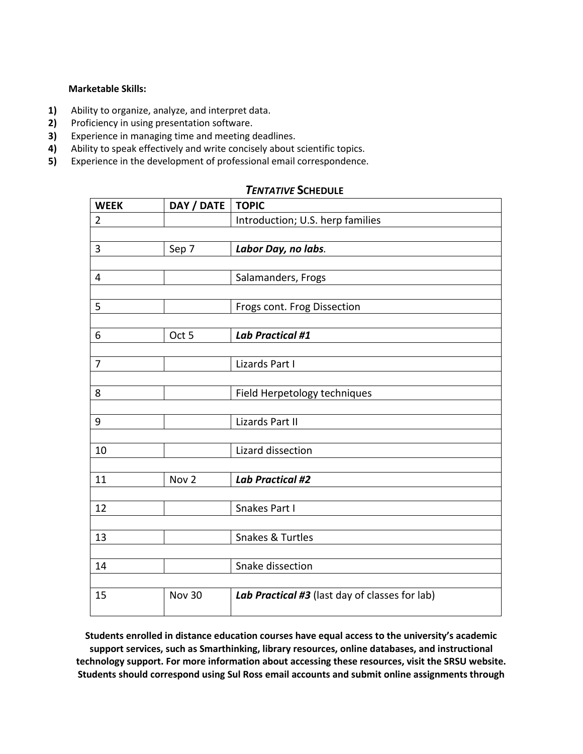#### **Marketable Skills:**

- **1)** Ability to organize, analyze, and interpret data.
- **2)** Proficiency in using presentation software.
- **3)** Experience in managing time and meeting deadlines.
- **4)** Ability to speak effectively and write concisely about scientific topics.
- **5)** Experience in the development of professional email correspondence.

| <b>WEEK</b>    | DAY / DATE       | <b>TOPIC</b>                                   |
|----------------|------------------|------------------------------------------------|
| $\overline{2}$ |                  | Introduction; U.S. herp families               |
|                |                  |                                                |
| 3              | Sep 7            | Labor Day, no labs.                            |
|                |                  |                                                |
| 4              |                  | Salamanders, Frogs                             |
|                |                  |                                                |
| 5              |                  | Frogs cont. Frog Dissection                    |
|                |                  |                                                |
| 6              | Oct 5            | <b>Lab Practical #1</b>                        |
|                |                  |                                                |
| $\overline{7}$ |                  | Lizards Part I                                 |
|                |                  |                                                |
| 8              |                  | Field Herpetology techniques                   |
|                |                  |                                                |
| 9              |                  | <b>Lizards Part II</b>                         |
|                |                  |                                                |
| 10             |                  | Lizard dissection                              |
|                |                  |                                                |
| 11             | Nov <sub>2</sub> | <b>Lab Practical #2</b>                        |
|                |                  |                                                |
| 12             |                  | Snakes Part I                                  |
|                |                  |                                                |
| 13             |                  | Snakes & Turtles                               |
|                |                  |                                                |
| 14             |                  | Snake dissection                               |
|                |                  |                                                |
| 15             | Nov 30           | Lab Practical #3 (last day of classes for lab) |
|                |                  |                                                |

## *TENTATIVE* **SCHEDULE**

**Students enrolled in distance education courses have equal access to the university's academic support services, such as Smarthinking, library resources, online databases, and instructional technology support. For more information about accessing these resources, visit the SRSU website. Students should correspond using Sul Ross email accounts and submit online assignments through**